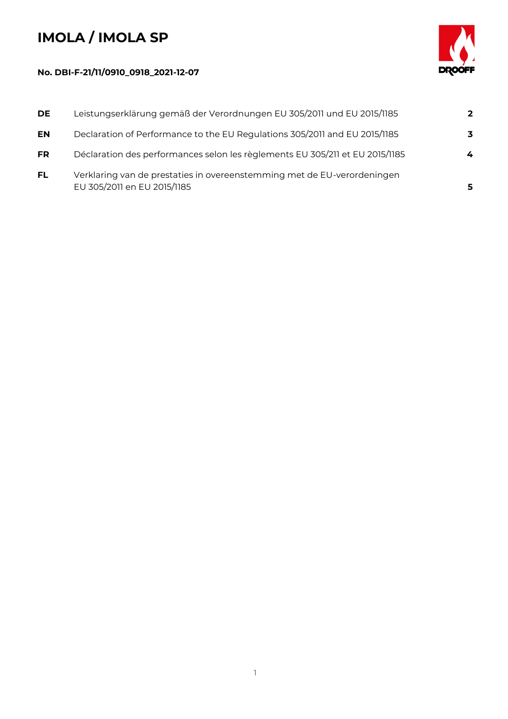## **IMOLA / IMOLA SP**



## **No. DBI-F-21/11/0910\_0918\_2021-12-07**

| <b>DE</b> | Leistungserklärung gemäß der Verordnungen EU 305/2011 und EU 2015/1185                                 | $\mathbf{2}$ |
|-----------|--------------------------------------------------------------------------------------------------------|--------------|
| <b>EN</b> | Declaration of Performance to the EU Regulations 305/2011 and EU 2015/1185                             | 3            |
| <b>FR</b> | Déclaration des performances selon les règlements EU 305/211 et EU 2015/1185                           | 4            |
| <b>FL</b> | Verklaring van de prestaties in overeenstemming met de EU-verordeningen<br>EU 305/2011 en EU 2015/1185 | 5            |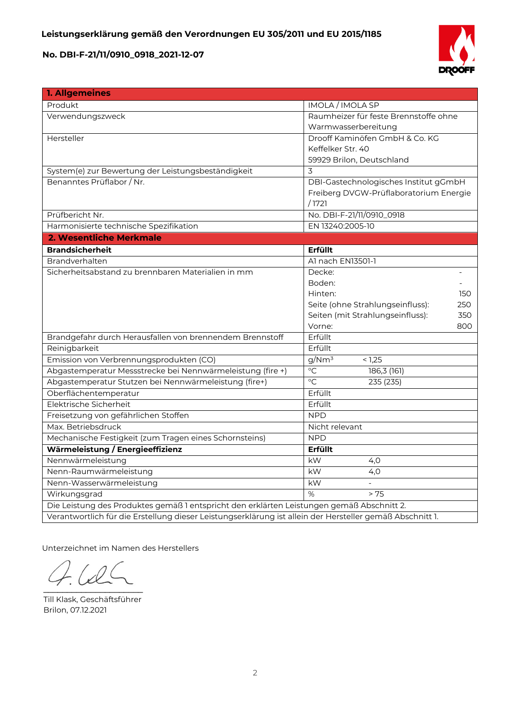

| 1. Allgemeines                                                                                           |                                         |  |  |
|----------------------------------------------------------------------------------------------------------|-----------------------------------------|--|--|
| Produkt                                                                                                  | <b>IMOLA / IMOLA SP</b>                 |  |  |
| Verwendungszweck                                                                                         | Raumheizer für feste Brennstoffe ohne   |  |  |
|                                                                                                          | Warmwasserbereitung                     |  |  |
| Hersteller                                                                                               | Drooff Kaminöfen GmbH & Co. KG          |  |  |
|                                                                                                          | Keffelker Str. 40                       |  |  |
|                                                                                                          | 59929 Brilon, Deutschland               |  |  |
| System(e) zur Bewertung der Leistungsbeständigkeit                                                       | 3                                       |  |  |
| Benanntes Prüflabor / Nr.                                                                                | DBI-Gastechnologisches Institut gGmbH   |  |  |
|                                                                                                          | Freiberg DVGW-Prüflaboratorium Energie  |  |  |
|                                                                                                          | /1721                                   |  |  |
| Prüfbericht Nr.                                                                                          | No. DBI-F-21/11/0910_0918               |  |  |
| Harmonisierte technische Spezifikation                                                                   | EN 13240:2005-10                        |  |  |
| 2. Wesentliche Merkmale                                                                                  |                                         |  |  |
| <b>Brandsicherheit</b>                                                                                   | Erfüllt                                 |  |  |
| Brandverhalten                                                                                           | Al nach EN13501-1                       |  |  |
| Sicherheitsabstand zu brennbaren Materialien in mm                                                       | Decke:                                  |  |  |
|                                                                                                          | Boden:                                  |  |  |
|                                                                                                          | Hinten:<br>150                          |  |  |
|                                                                                                          | Seite (ohne Strahlungseinfluss):<br>250 |  |  |
|                                                                                                          | Seiten (mit Strahlungseinfluss):<br>350 |  |  |
|                                                                                                          | Vorne:<br>800                           |  |  |
| Brandgefahr durch Herausfallen von brennendem Brennstoff                                                 | Erfüllt                                 |  |  |
| Reinigbarkeit                                                                                            | Erfüllt                                 |  |  |
| Emission von Verbrennungsprodukten (CO)                                                                  | g/Nm <sup>3</sup><br>< 1,25             |  |  |
| Abgastemperatur Messstrecke bei Nennwärmeleistung (fire +)                                               | $\overline{C}$<br>186,3 (161)           |  |  |
| Abgastemperatur Stutzen bei Nennwärmeleistung (fire+)                                                    | $\overline{C}$<br>235 (235)             |  |  |
| Oberflächentemperatur                                                                                    | Erfüllt                                 |  |  |
| Elektrische Sicherheit                                                                                   | Erfüllt                                 |  |  |
| Freisetzung von gefährlichen Stoffen                                                                     | <b>NPD</b>                              |  |  |
| Max. Betriebsdruck                                                                                       | Nicht relevant                          |  |  |
| Mechanische Festigkeit (zum Tragen eines Schornsteins)                                                   | <b>NPD</b>                              |  |  |
| Wärmeleistung / Energieeffizienz                                                                         | <b>Erfüllt</b>                          |  |  |
| Nennwärmeleistung                                                                                        | kW<br>4,0                               |  |  |
| Nenn-Raumwärmeleistung                                                                                   | kW<br>4,0                               |  |  |
| Nenn-Wasserwärmeleistung                                                                                 | kW                                      |  |  |
| Wirkungsgrad                                                                                             | %<br>> 75                               |  |  |
| Die Leistung des Produktes gemäß 1 entspricht den erklärten Leistungen gemäß Abschnitt 2.                |                                         |  |  |
| Verantwortlich für die Erstellung dieser Leistungserklärung ist allein der Hersteller gemäß Abschnitt 1. |                                         |  |  |

Unterzeichnet im Namen des Herstellers

 $\sqrt{2}$  $\overline{\phantom{a}}$ 

Till Klask, Geschäftsführer Brilon, 07.12.2021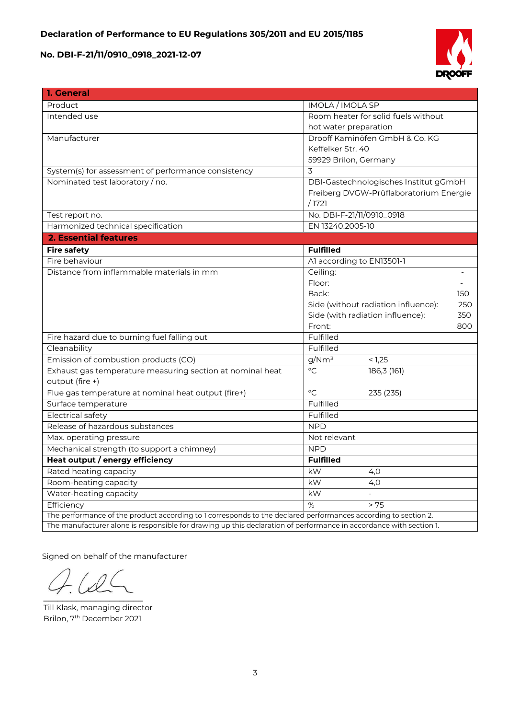

| 1. General                                                                                                         |                                            |  |  |
|--------------------------------------------------------------------------------------------------------------------|--------------------------------------------|--|--|
| Product                                                                                                            | <b>IMOLA</b> / <b>IMOLA</b> SP             |  |  |
| Intended use                                                                                                       | Room heater for solid fuels without        |  |  |
|                                                                                                                    | hot water preparation                      |  |  |
| Manufacturer                                                                                                       | Drooff Kaminöfen GmbH & Co. KG             |  |  |
|                                                                                                                    | Keffelker Str. 40                          |  |  |
|                                                                                                                    | 59929 Brilon, Germany                      |  |  |
| System(s) for assessment of performance consistency                                                                | 3                                          |  |  |
| Nominated test laboratory / no.                                                                                    | DBI-Gastechnologisches Institut gGmbH      |  |  |
|                                                                                                                    | Freiberg DVGW-Prüflaboratorium Energie     |  |  |
|                                                                                                                    | /1721                                      |  |  |
| Test report no.                                                                                                    | No. DBI-F-21/11/0910_0918                  |  |  |
| Harmonized technical specification                                                                                 | EN 13240:2005-10                           |  |  |
| <b>2. Essential features</b>                                                                                       |                                            |  |  |
| <b>Fire safety</b>                                                                                                 | <b>Fulfilled</b>                           |  |  |
| Fire behaviour                                                                                                     | Al according to EN13501-1                  |  |  |
| Distance from inflammable materials in mm                                                                          | Ceiling:                                   |  |  |
|                                                                                                                    | Floor:                                     |  |  |
|                                                                                                                    | Back:<br>150                               |  |  |
|                                                                                                                    | Side (without radiation influence):<br>250 |  |  |
|                                                                                                                    | Side (with radiation influence):<br>350    |  |  |
|                                                                                                                    | Front:<br>800                              |  |  |
| Fire hazard due to burning fuel falling out                                                                        | Fulfilled                                  |  |  |
| Cleanability                                                                                                       | Fulfilled                                  |  |  |
| Emission of combustion products (CO)                                                                               | g/Nm <sup>3</sup><br>$\frac{1}{5}$ 1,25    |  |  |
| Exhaust gas temperature measuring section at nominal heat                                                          | $^{\circ}C$<br>186,3(161)                  |  |  |
| output (fire +)                                                                                                    |                                            |  |  |
| Flue gas temperature at nominal heat output (fire+)                                                                | $\circ$ C<br>235 (235)                     |  |  |
| Surface temperature                                                                                                | Fulfilled                                  |  |  |
| <b>Electrical safety</b>                                                                                           | Fulfilled                                  |  |  |
| Release of hazardous substances                                                                                    | <b>NPD</b>                                 |  |  |
| Max. operating pressure                                                                                            | Not relevant                               |  |  |
| Mechanical strength (to support a chimney)                                                                         | <b>NPD</b>                                 |  |  |
| Heat output / energy efficiency                                                                                    | <b>Fulfilled</b>                           |  |  |
| Rated heating capacity                                                                                             | kW<br>4,0                                  |  |  |
| Room-heating capacity                                                                                              | kW<br>4,0                                  |  |  |
| Water-heating capacity                                                                                             | kW                                         |  |  |
| Efficiency                                                                                                         | $\%$<br>> 75                               |  |  |
| The performance of the product according to 1 corresponds to the declared performances according to section 2.     |                                            |  |  |
| The manufacturer alone is responsible for drawing up this declaration of performance in accordance with section 1. |                                            |  |  |

Signed on behalf of the manufacturer

 $\mathcal{L}$  and  $\mathcal{L}$  and  $\mathcal{L}$ 

Till Klask, managing director Brilon, 7<sup>th</sup> December 2021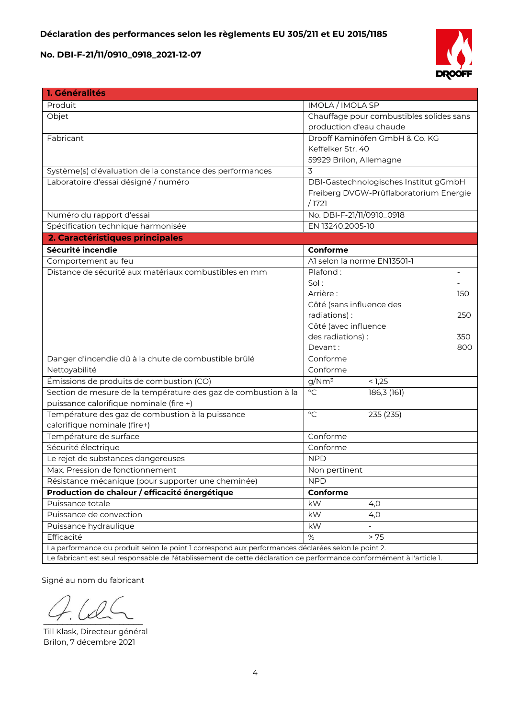

| 1. Généralités                                                                                                       |                                          |  |  |  |
|----------------------------------------------------------------------------------------------------------------------|------------------------------------------|--|--|--|
| Produit                                                                                                              | IMOLA / IMOLA SP                         |  |  |  |
| Objet                                                                                                                | Chauffage pour combustibles solides sans |  |  |  |
|                                                                                                                      | production d'eau chaude                  |  |  |  |
| Fabricant                                                                                                            | Drooff Kaminöfen GmbH & Co. KG           |  |  |  |
|                                                                                                                      | Keffelker Str. 40                        |  |  |  |
|                                                                                                                      | 59929 Brilon, Allemagne                  |  |  |  |
| Système(s) d'évaluation de la constance des performances                                                             | 3                                        |  |  |  |
| Laboratoire d'essai désigné / numéro                                                                                 | DBI-Gastechnologisches Institut gGmbH    |  |  |  |
|                                                                                                                      | Freiberg DVGW-Prüflaboratorium Energie   |  |  |  |
|                                                                                                                      | /1721                                    |  |  |  |
| Numéro du rapport d'essai                                                                                            | No. DBI-F-21/11/0910_0918                |  |  |  |
| Spécification technique harmonisée                                                                                   | EN 13240:2005-10                         |  |  |  |
| 2. Caractéristiques principales                                                                                      |                                          |  |  |  |
| Sécurité incendie                                                                                                    | Conforme                                 |  |  |  |
| Comportement au feu                                                                                                  | Al selon la norme EN13501-1              |  |  |  |
| Distance de sécurité aux matériaux combustibles en mm                                                                | Plafond:                                 |  |  |  |
|                                                                                                                      | Sol:                                     |  |  |  |
|                                                                                                                      | Arrière :<br>150                         |  |  |  |
|                                                                                                                      | Côté (sans influence des                 |  |  |  |
|                                                                                                                      | radiations):<br>250                      |  |  |  |
|                                                                                                                      | Côté (avec influence                     |  |  |  |
|                                                                                                                      | des radiations) :<br>350                 |  |  |  |
|                                                                                                                      | Devant:<br>800                           |  |  |  |
| Danger d'incendie dû à la chute de combustible brûlé                                                                 | Conforme                                 |  |  |  |
| Nettoyabilité                                                                                                        | Conforme                                 |  |  |  |
| Émissions de produits de combustion (CO)                                                                             | g/Nm <sup>3</sup><br>< 1,25              |  |  |  |
| Section de mesure de la température des gaz de combustion à la                                                       | $\overline{C}$<br>186,3 (161)            |  |  |  |
| puissance calorifique nominale (fire +)                                                                              |                                          |  |  |  |
| Température des gaz de combustion à la puissance                                                                     | $\rm ^{\circ}C$<br>235 (235)             |  |  |  |
| calorifique nominale (fire+)                                                                                         |                                          |  |  |  |
| Température de surface                                                                                               | Conforme                                 |  |  |  |
| Sécurité électrique                                                                                                  | Conforme                                 |  |  |  |
| Le rejet de substances dangereuses                                                                                   | <b>NPD</b>                               |  |  |  |
| Max. Pression de fonctionnement                                                                                      | Non pertinent                            |  |  |  |
| Résistance mécanique (pour supporter une cheminée)                                                                   | <b>NPD</b>                               |  |  |  |
| Production de chaleur / efficacité énergétique                                                                       | Conforme                                 |  |  |  |
| Puissance totale                                                                                                     | kW<br>4,0                                |  |  |  |
| Puissance de convection                                                                                              | kW<br>4,0                                |  |  |  |
| Puissance hydraulique                                                                                                | kW                                       |  |  |  |
| Efficacité                                                                                                           | $\%$<br>> 75                             |  |  |  |
| La performance du produit selon le point 1 correspond aux performances déclarées selon le point 2.                   |                                          |  |  |  |
| Le fabricant est seul responsable de l'établissement de cette déclaration de performance conformément à l'article 1. |                                          |  |  |  |

Signé au nom du fabricant

 $\sim$ 

Till Klask, Directeur général Brilon, 7 décembre 2021